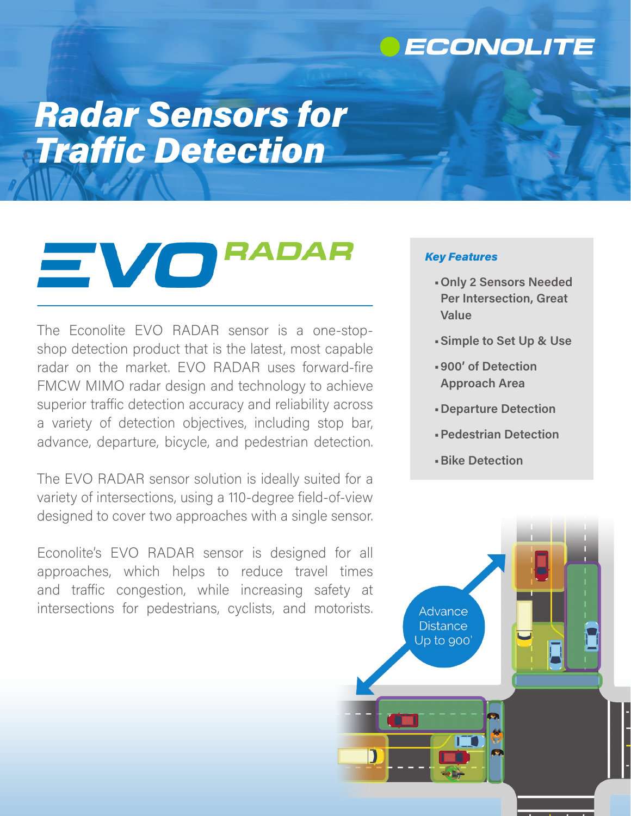### ECONOLITE

# *Radar Sensors for Traffic Detection*

## **RADAR**  $=$   $\sqrt{\mathbf{o}}$

The Econolite EVO RADAR sensor is a one-stopshop detection product that is the latest, most capable radar on the market. EVO RADAR uses forward-fire FMCW MIMO radar design and technology to achieve superior traffic detection accuracy and reliability across a variety of detection objectives, including stop bar, advance, departure, bicycle, and pedestrian detection.

The EVO RADAR sensor solution is ideally suited for a variety of intersections, using a 110-degree field-of-view designed to cover two approaches with a single sensor.

Econolite's EVO RADAR sensor is designed for all approaches, which helps to reduce travel times and traffic congestion, while increasing safety at intersections for pedestrians, cyclists, and motorists.

#### *Key Features*

- **•Only 2 Sensors Needed Per Intersection, Great Value**
- **•Simple to Set Up & Use**
- **•900' of Detection Approach Area**
- **•Departure Detection**
- **•Pedestrian Detection**
- **•Bike Detection**

**Advance Distance** Up to 900'